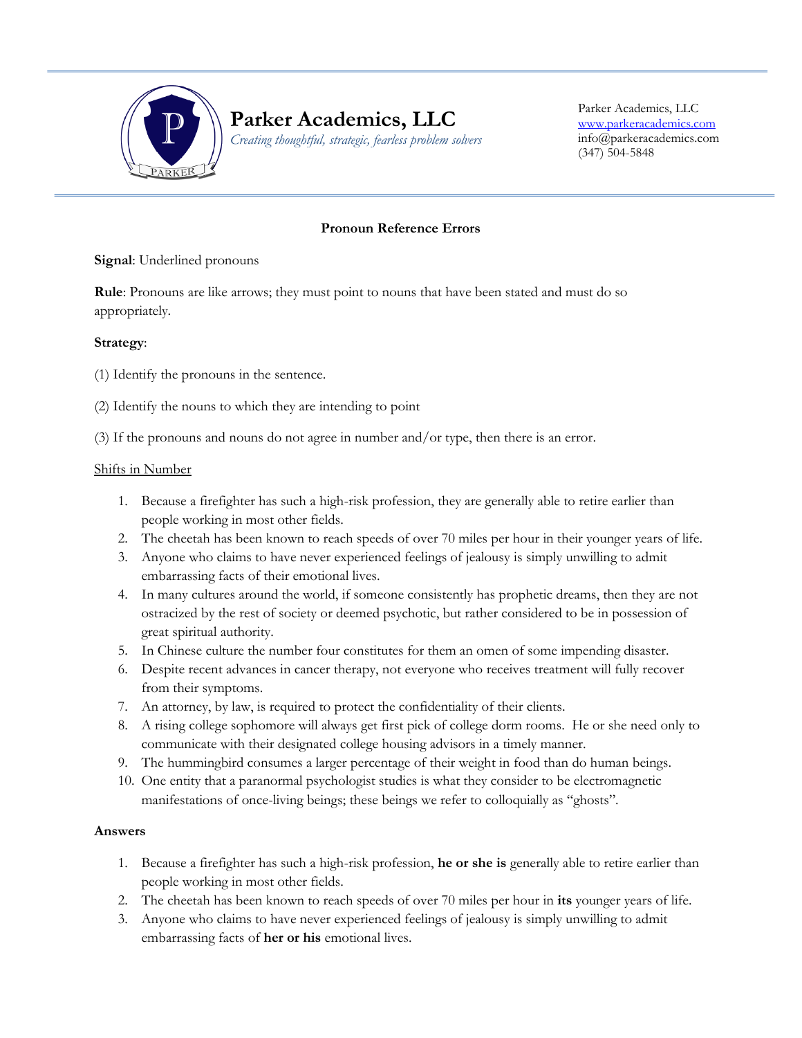

# **Parker Academics, LLC**

*Creating thoughtful, strategic, fearless problem solvers*

Parker Academics, LLC [www.parkeracademics.com](http://www.parkeracademics.com/) info@parkeracademics.com (347) 504-5848

#### **Pronoun Reference Errors**

**Signal**: Underlined pronouns

**Rule**: Pronouns are like arrows; they must point to nouns that have been stated and must do so appropriately.

## **Strategy**:

(1) Identify the pronouns in the sentence.

(2) Identify the nouns to which they are intending to point

Ī

(3) If the pronouns and nouns do not agree in number and/or type, then there is an error.

#### Shifts in Number

- 1. Because a firefighter has such a high-risk profession, they are generally able to retire earlier than people working in most other fields.
- 2. The cheetah has been known to reach speeds of over 70 miles per hour in their younger years of life.
- 3. Anyone who claims to have never experienced feelings of jealousy is simply unwilling to admit embarrassing facts of their emotional lives.
- 4. In many cultures around the world, if someone consistently has prophetic dreams, then they are not ostracized by the rest of society or deemed psychotic, but rather considered to be in possession of great spiritual authority.
- 5. In Chinese culture the number four constitutes for them an omen of some impending disaster.
- 6. Despite recent advances in cancer therapy, not everyone who receives treatment will fully recover from their symptoms.
- 7. An attorney, by law, is required to protect the confidentiality of their clients.
- 8. A rising college sophomore will always get first pick of college dorm rooms. He or she need only to communicate with their designated college housing advisors in a timely manner.
- 9. The hummingbird consumes a larger percentage of their weight in food than do human beings.
- 10. One entity that a paranormal psychologist studies is what they consider to be electromagnetic manifestations of once-living beings; these beings we refer to colloquially as "ghosts".

#### **Answers**

- 1. Because a firefighter has such a high-risk profession, **he or she is** generally able to retire earlier than people working in most other fields.
- 2. The cheetah has been known to reach speeds of over 70 miles per hour in **its** younger years of life.
- 3. Anyone who claims to have never experienced feelings of jealousy is simply unwilling to admit embarrassing facts of **her or his** emotional lives.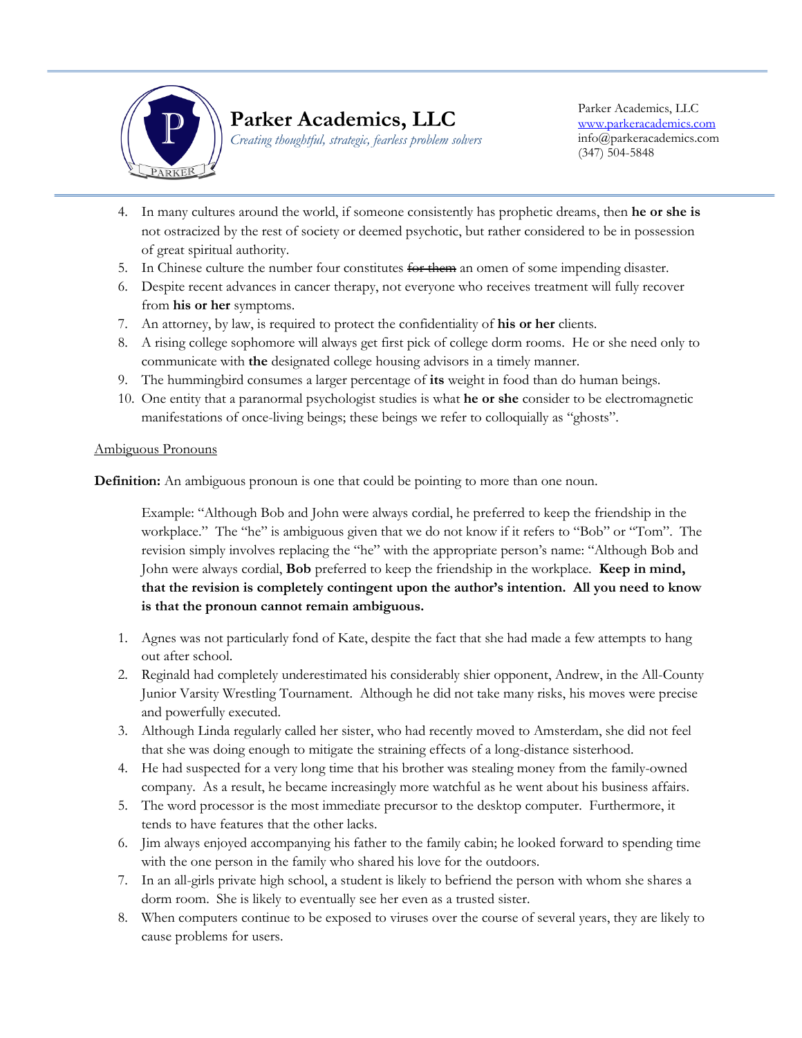

# **Parker Academics, LLC**

*Creating thoughtful, strategic, fearless problem solvers*

Parker Academics, LLC [www.parkeracademics.com](http://www.parkeracademics.com/) info@parkeracademics.com (347) 504-5848

- Ī 4. In many cultures around the world, if someone consistently has prophetic dreams, then **he or she is** not ostracized by the rest of society or deemed psychotic, but rather considered to be in possession of great spiritual authority.
- 5. In Chinese culture the number four constitutes for them an omen of some impending disaster.
- 6. Despite recent advances in cancer therapy, not everyone who receives treatment will fully recover from **his or her** symptoms.
- 7. An attorney, by law, is required to protect the confidentiality of **his or her** clients.
- 8. A rising college sophomore will always get first pick of college dorm rooms. He or she need only to communicate with **the** designated college housing advisors in a timely manner.
- 9. The hummingbird consumes a larger percentage of **its** weight in food than do human beings.
- 10. One entity that a paranormal psychologist studies is what **he or she** consider to be electromagnetic manifestations of once-living beings; these beings we refer to colloquially as "ghosts".

## Ambiguous Pronouns

**Definition:** An ambiguous pronoun is one that could be pointing to more than one noun.

Example: "Although Bob and John were always cordial, he preferred to keep the friendship in the workplace." The "he" is ambiguous given that we do not know if it refers to "Bob" or "Tom". The revision simply involves replacing the "he" with the appropriate person's name: "Although Bob and John were always cordial, **Bob** preferred to keep the friendship in the workplace. **Keep in mind, that the revision is completely contingent upon the author's intention. All you need to know is that the pronoun cannot remain ambiguous.**

- 1. Agnes was not particularly fond of Kate, despite the fact that she had made a few attempts to hang out after school.
- 2. Reginald had completely underestimated his considerably shier opponent, Andrew, in the All-County Junior Varsity Wrestling Tournament. Although he did not take many risks, his moves were precise and powerfully executed.
- 3. Although Linda regularly called her sister, who had recently moved to Amsterdam, she did not feel that she was doing enough to mitigate the straining effects of a long-distance sisterhood.
- 4. He had suspected for a very long time that his brother was stealing money from the family-owned company. As a result, he became increasingly more watchful as he went about his business affairs.
- 5. The word processor is the most immediate precursor to the desktop computer. Furthermore, it tends to have features that the other lacks.
- 6. Jim always enjoyed accompanying his father to the family cabin; he looked forward to spending time with the one person in the family who shared his love for the outdoors.
- 7. In an all-girls private high school, a student is likely to befriend the person with whom she shares a dorm room. She is likely to eventually see her even as a trusted sister.
- 8. When computers continue to be exposed to viruses over the course of several years, they are likely to cause problems for users.